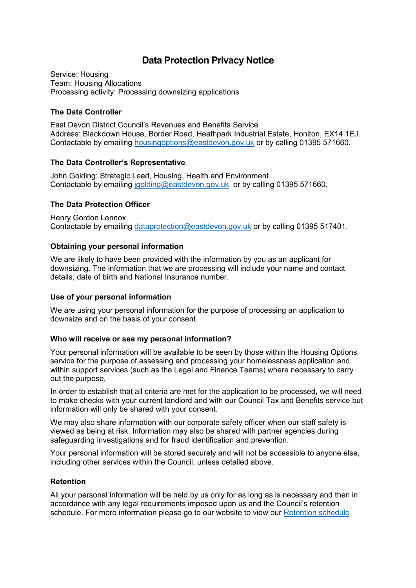# **Data Protection Privacy Notice**

Service: Housing Team: Housing Allocations Processing activity: Processing downsizing applications

## **The Data Controller**

East Devon District Council's Revenues and Benefits Service Address: Blackdown House, Border Road, Heathpark Industrial Estate, Honiton, EX14 1EJ. Contactable by emailing [housingoptions@eastdevon.gov.uk](mailto:housingoptions@eastdevon.gov.uk) or by calling 01395 571660.

#### **The Data Controller's Representative**

John Golding: Strategic Lead, Housing, Health and Environment Contactable by emailing [jgolding@eastdevon.gov.uk](mailto:jgolding@eastdevon.gov.uk) or by calling 01395 571660.

# **The Data Protection Officer**

Henry Gordon Lennox Contactable by emailing [dataprotection@eastdevon.gov.uk](mailto:dataprotection@eastdevon.gov.uk) or by calling 01395 517401.

# **Obtaining your personal information**

We are likely to have been provided with the information by you as an applicant for downsizing. The information that we are processing will include your name and contact details, date of birth and National Insurance number.

#### **Use of your personal information**

We are using your personal information for the purpose of processing an application to downsize and on the basis of your consent.

#### **Who will receive or see my personal information?**

Your personal information will be available to be seen by those within the Housing Options service for the purpose of assessing and processing your homelessness application and within support services (such as the Legal and Finance Teams) where necessary to carry out the purpose.

In order to establish that all criteria are met for the application to be processed, we will need to make checks with your current landlord and with our Council Tax and Benefits service but information will only be shared with your consent.

We may also share information with our corporate safety officer when our staff safety is viewed as being at risk. Information may also be shared with partner agencies during safeguarding investigations and for fraud identification and prevention.

Your personal information will be stored securely and will not be accessible to anyone else, including other services within the Council, unless detailed above.

#### **Retention**

All your personal information will be held by us only for as long as is necessary and then in accordance with any legal requirements imposed upon us and the Council's retention schedule. For more information please go to our website to view our [Retention schedule](http://eastdevon.gov.uk/access-to-information/data-protection/document-retention-schedules/)